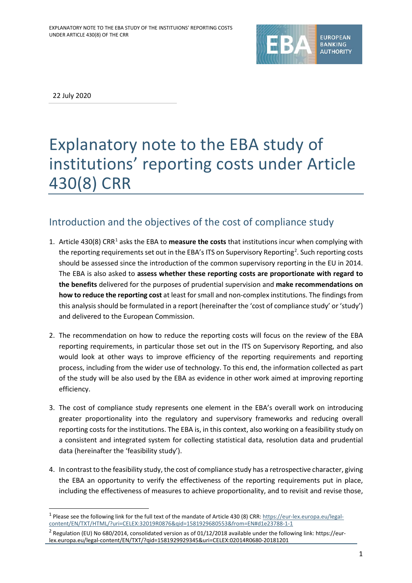

22 July 2020

1

# Explanatory note to the EBA study of institutions' reporting costs under Article 430(8) CRR

## Introduction and the objectives of the cost of compliance study

- [1](#page-0-0). Article 430(8) CRR<sup>1</sup> asks the EBA to **measure the costs** that institutions incur when complying with the reporting requirements set out in the EBA's ITS on Supervisory Reporting<sup>[2](#page-0-1)</sup>. Such reporting costs should be assessed since the introduction of the common supervisory reporting in the EU in 2014. The EBA is also asked to **assess whether these reporting costs are proportionate with regard to the benefits** delivered for the purposes of prudential supervision and **make recommendations on how to reduce the reporting cost** at least for small and non-complex institutions. The findings from this analysis should be formulated in a report (hereinafter the 'cost of compliance study' or 'study') and delivered to the European Commission.
- 2. The recommendation on how to reduce the reporting costs will focus on the review of the EBA reporting requirements, in particular those set out in the ITS on Supervisory Reporting, and also would look at other ways to improve efficiency of the reporting requirements and reporting process, including from the wider use of technology. To this end, the information collected as part of the study will be also used by the EBA as evidence in other work aimed at improving reporting efficiency.
- 3. The cost of compliance study represents one element in the EBA's overall work on introducing greater proportionality into the regulatory and supervisory frameworks and reducing overall reporting costs for the institutions. The EBA is, in this context, also working on a feasibility study on a consistent and integrated system for collecting statistical data, resolution data and prudential data (hereinafter the 'feasibility study').
- 4. In contrast to the feasibility study, the cost of compliance study has a retrospective character, giving the EBA an opportunity to verify the effectiveness of the reporting requirements put in place, including the effectiveness of measures to achieve proportionality, and to revisit and revise those,

<span id="page-0-0"></span><sup>&</sup>lt;sup>1</sup> Please see the following link for the full text of the mandate of Article 430 (8) CRR[: https://eur-lex.europa.eu/legal](https://eur-lex.europa.eu/legal-content/EN/TXT/HTML/?uri=CELEX:32019R0876&qid=1581929680553&from=EN#d1e23788-1-1)[content/EN/TXT/HTML/?uri=CELEX:32019R0876&qid=1581929680553&from=EN#d1e23788-1-1](https://eur-lex.europa.eu/legal-content/EN/TXT/HTML/?uri=CELEX:32019R0876&qid=1581929680553&from=EN#d1e23788-1-1)

<span id="page-0-1"></span><sup>&</sup>lt;sup>2</sup> Regulation (EU) No 680/2014, consolidated version as of 01/12/2018 available under the following link: https://eurlex.europa.eu/legal-content/EN/TXT/?qid=1581929929345&uri=CELEX:02014R0680-20181201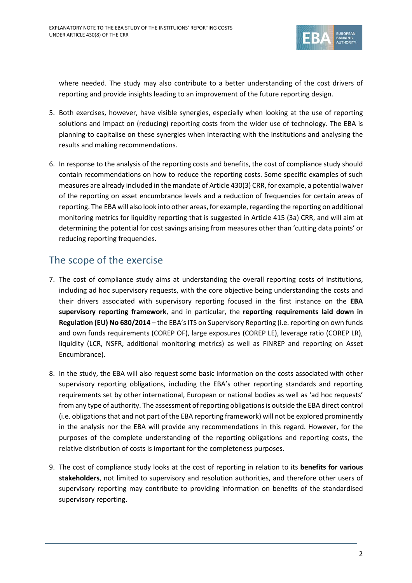

where needed. The study may also contribute to a better understanding of the cost drivers of reporting and provide insights leading to an improvement of the future reporting design.

- 5. Both exercises, however, have visible synergies, especially when looking at the use of reporting solutions and impact on (reducing) reporting costs from the wider use of technology. The EBA is planning to capitalise on these synergies when interacting with the institutions and analysing the results and making recommendations.
- 6. In response to the analysis of the reporting costs and benefits, the cost of compliance study should contain recommendations on how to reduce the reporting costs. Some specific examples of such measures are already included in the mandate of Article 430(3) CRR, for example, a potential waiver of the reporting on asset encumbrance levels and a reduction of frequencies for certain areas of reporting. The EBA will also look into other areas, for example, regarding the reporting on additional monitoring metrics for liquidity reporting that is suggested in Article 415 (3a) CRR, and will aim at determining the potential for cost savings arising from measures other than 'cutting data points' or reducing reporting frequencies.

## The scope of the exercise

- 7. The cost of compliance study aims at understanding the overall reporting costs of institutions, including ad hoc supervisory requests, with the core objective being understanding the costs and their drivers associated with supervisory reporting focused in the first instance on the **EBA supervisory reporting framework**, and in particular, the **reporting requirements laid down in Regulation (EU) No 680/2014** – the EBA's ITS on Supervisory Reporting (i.e. reporting on own funds and own funds requirements (COREP OF), large exposures (COREP LE), leverage ratio (COREP LR), liquidity (LCR, NSFR, additional monitoring metrics) as well as FINREP and reporting on Asset Encumbrance).
- 8. In the study, the EBA will also request some basic information on the costs associated with other supervisory reporting obligations, including the EBA's other reporting standards and reporting requirements set by other international, European or national bodies as well as 'ad hoc requests' from any type of authority. The assessment of reporting obligations is outside the EBA direct control (i.e. obligations that and not part of the EBA reporting framework) will not be explored prominently in the analysis nor the EBA will provide any recommendations in this regard. However, for the purposes of the complete understanding of the reporting obligations and reporting costs, the relative distribution of costs is important for the completeness purposes.
- 9. The cost of compliance study looks at the cost of reporting in relation to its **benefits for various stakeholders**, not limited to supervisory and resolution authorities, and therefore other users of supervisory reporting may contribute to providing information on benefits of the standardised supervisory reporting.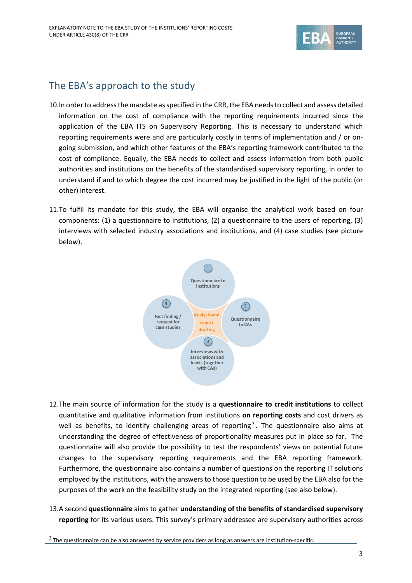

## The EBA's approach to the study

- 10.In order to address the mandate as specified in the CRR, the EBA needs to collect and assess detailed information on the cost of compliance with the reporting requirements incurred since the application of the EBA ITS on Supervisory Reporting. This is necessary to understand which reporting requirements were and are particularly costly in terms of implementation and / or ongoing submission, and which other features of the EBA's reporting framework contributed to the cost of compliance. Equally, the EBA needs to collect and assess information from both public authorities and institutions on the benefits of the standardised supervisory reporting, in order to understand if and to which degree the cost incurred may be justified in the light of the public (or other) interest.
- 11.To fulfil its mandate for this study, the EBA will organise the analytical work based on four components: (1) a questionnaire to institutions, (2) a questionnaire to the users of reporting, (3) interviews with selected industry associations and institutions, and (4) case studies (see picture below).



- 12.The main source of information for the study is a **questionnaire to credit institutions** to collect quantitative and qualitative information from institutions **on reporting costs** and cost drivers as well as benefits, to identify challenging areas of reporting<sup>[3](#page-2-0)</sup>. The questionnaire also aims at understanding the degree of effectiveness of proportionality measures put in place so far. The questionnaire will also provide the possibility to test the respondents' views on potential future changes to the supervisory reporting requirements and the EBA reporting framework. Furthermore, the questionnaire also contains a number of questions on the reporting IT solutions employed by the institutions, with the answers to those question to be used by the EBA also for the purposes of the work on the feasibility study on the integrated reporting (see also below).
- 13.A second **questionnaire** aims to gather **understanding of the benefits of standardised supervisory reporting** for its various users. This survey's primary addressee are supervisory authorities across

l

<span id="page-2-0"></span><sup>&</sup>lt;sup>3</sup> The questionnaire can be also answered by service providers as long as answers are institution-specific.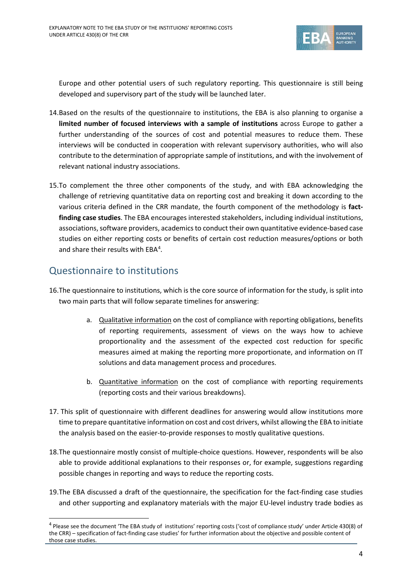

Europe and other potential users of such regulatory reporting. This questionnaire is still being developed and supervisory part of the study will be launched later.

- 14.Based on the results of the questionnaire to institutions, the EBA is also planning to organise a **limited number of focused interviews with a sample of institutions** across Europe to gather a further understanding of the sources of cost and potential measures to reduce them. These interviews will be conducted in cooperation with relevant supervisory authorities, who will also contribute to the determination of appropriate sample of institutions, and with the involvement of relevant national industry associations.
- 15.To complement the three other components of the study, and with EBA acknowledging the challenge of retrieving quantitative data on reporting cost and breaking it down according to the various criteria defined in the CRR mandate, the fourth component of the methodology is **factfinding case studies**. The EBA encourages interested stakeholders, including individual institutions, associations, software providers, academics to conduct their own quantitative evidence-based case studies on either reporting costs or benefits of certain cost reduction measures/options or both and share their results with EBA<sup>[4](#page-3-0)</sup>.

### Questionnaire to institutions

l

- 16.The questionnaire to institutions, which is the core source of information for the study, is split into two main parts that will follow separate timelines for answering:
	- a. Qualitative information on the cost of compliance with reporting obligations, benefits of reporting requirements, assessment of views on the ways how to achieve proportionality and the assessment of the expected cost reduction for specific measures aimed at making the reporting more proportionate, and information on IT solutions and data management process and procedures.
	- b. Quantitative information on the cost of compliance with reporting requirements (reporting costs and their various breakdowns).
- 17. This split of questionnaire with different deadlines for answering would allow institutions more time to prepare quantitative information on cost and cost drivers, whilst allowing the EBA to initiate the analysis based on the easier-to-provide responses to mostly qualitative questions.
- 18.The questionnaire mostly consist of multiple-choice questions. However, respondents will be also able to provide additional explanations to their responses or, for example, suggestions regarding possible changes in reporting and ways to reduce the reporting costs.
- 19.The EBA discussed a draft of the questionnaire, the specification for the fact-finding case studies and other supporting and explanatory materials with the major EU-level industry trade bodies as

<span id="page-3-0"></span><sup>4</sup> Please see the document 'The EBA study of institutions' reporting costs ('cost of compliance study' under Article 430(8) of the CRR) – specification of fact-finding case studies' for further information about the objective and possible content of those case studies.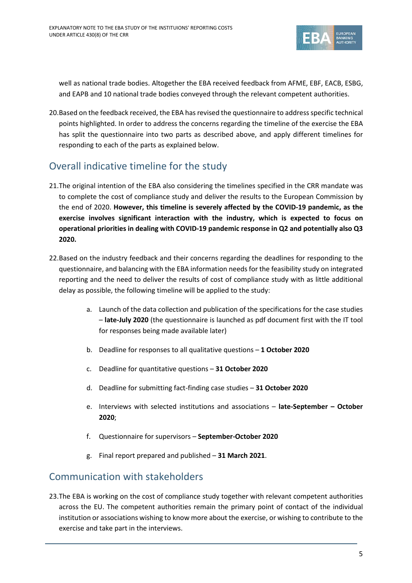

well as national trade bodies. Altogether the EBA received feedback from AFME, EBF, EACB, ESBG, and EAPB and 10 national trade bodies conveyed through the relevant competent authorities.

20.Based on the feedback received, the EBA has revised the questionnaire to address specific technical points highlighted. In order to address the concerns regarding the timeline of the exercise the EBA has split the questionnaire into two parts as described above, and apply different timelines for responding to each of the parts as explained below.

## Overall indicative timeline for the study

- 21.The original intention of the EBA also considering the timelines specified in the CRR mandate was to complete the cost of compliance study and deliver the results to the European Commission by the end of 2020. **However, this timeline is severely affected by the COVID-19 pandemic, as the exercise involves significant interaction with the industry, which is expected to focus on operational priorities in dealing with COVID-19 pandemic response in Q2 and potentially also Q3 2020.**
- 22.Based on the industry feedback and their concerns regarding the deadlines for responding to the questionnaire, and balancing with the EBA information needs for the feasibility study on integrated reporting and the need to deliver the results of cost of compliance study with as little additional delay as possible, the following timeline will be applied to the study:
	- a. Launch of the data collection and publication of the specifications for the case studies – **late-July 2020** (the questionnaire is launched as pdf document first with the IT tool for responses being made available later)
	- b. Deadline for responses to all qualitative questions **1 October 2020**
	- c. Deadline for quantitative questions **31 October 2020**
	- d. Deadline for submitting fact-finding case studies **31 October 2020**
	- e. Interviews with selected institutions and associations **late-September – October 2020**;
	- f. Questionnaire for supervisors **September-October 2020**
	- g. Final report prepared and published **31 March 2021**.

#### Communication with stakeholders

23.The EBA is working on the cost of compliance study together with relevant competent authorities across the EU. The competent authorities remain the primary point of contact of the individual institution or associations wishing to know more about the exercise, or wishing to contribute to the exercise and take part in the interviews.